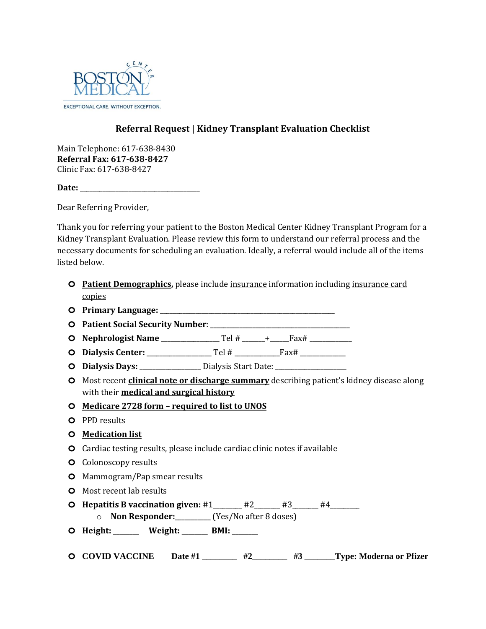

## **Referral Request | Kidney Transplant Evaluation Checklist**

Main Telephone: 617-638-8430 **Referral Fax: 617-638-8427** Clinic Fax: 617-638-8427

**Date:** \_\_\_\_\_\_\_\_\_\_\_\_\_\_\_\_\_\_\_\_\_\_\_\_\_\_\_\_\_\_\_\_\_\_\_\_\_

Dear Referring Provider,

Thank you for referring your patient to the Boston Medical Center Kidney Transplant Program for a Kidney Transplant Evaluation. Please review this form to understand our referral process and the necessary documents for scheduling an evaluation. Ideally, a referral would include all of the items listed below.

- **o Patient Demographics,** please include insurance information including insurance card copies
- **o Primary Language:** \_\_\_\_\_\_\_\_\_\_\_\_\_\_\_\_\_\_\_\_\_\_\_\_\_\_\_\_\_\_\_\_\_\_\_\_\_\_\_\_\_\_\_\_\_\_\_\_\_\_\_\_\_\_ **o Patient Social Security Number**: \_\_\_\_\_\_\_\_\_\_\_\_\_\_\_\_\_\_\_\_\_\_\_\_\_\_\_\_\_\_\_\_\_\_\_\_\_\_\_\_\_\_\_ **o Nephrologist Name** \_\_\_\_\_\_\_\_\_\_\_\_\_\_\_\_\_\_ Tel # \_\_\_\_\_\_\_+\_\_\_\_\_\_Fax# \_\_\_\_\_\_\_\_\_\_\_\_\_ **o Dialysis Center:** \_\_\_\_\_\_\_\_\_\_\_\_\_\_\_\_\_\_\_\_ Tel # \_\_\_\_\_\_\_\_\_\_\_\_\_\_Fax# \_\_\_\_\_\_\_\_\_\_\_\_\_\_ **o Dialysis Days:** \_\_\_\_\_\_\_\_\_\_\_\_\_\_\_\_\_\_\_ Dialysis Start Date: \_\_\_\_\_\_\_\_\_\_\_\_\_\_\_\_\_\_\_\_\_\_ **o** Most recent **clinical note or discharge summary** describing patient's kidney disease along with their **medical and surgical history o Medicare 2728 form – required to list to UNOS o** PPD results **o Medication list o** Cardiac testing results, please include cardiac clinic notes if available **o** Colonoscopy results **o** Mammogram/Pap smear results **o** Most recent lab results **o Hepatitis B vaccination given:**  $\#1$   $\#2$   $\#3$   $\#4$ o **Non Responder:**\_\_\_\_\_\_\_\_\_\_\_ (Yes/No after 8 doses) **o Height: \_\_\_\_\_\_\_\_ Weight: \_\_\_\_\_\_\_\_ BMI: \_\_\_\_\_\_\_\_ o COVID VACCINE** Date #1 \_\_\_\_\_\_\_ #2 \_\_\_\_\_\_ #3 \_\_\_\_\_Type: Moderna or Pfizer